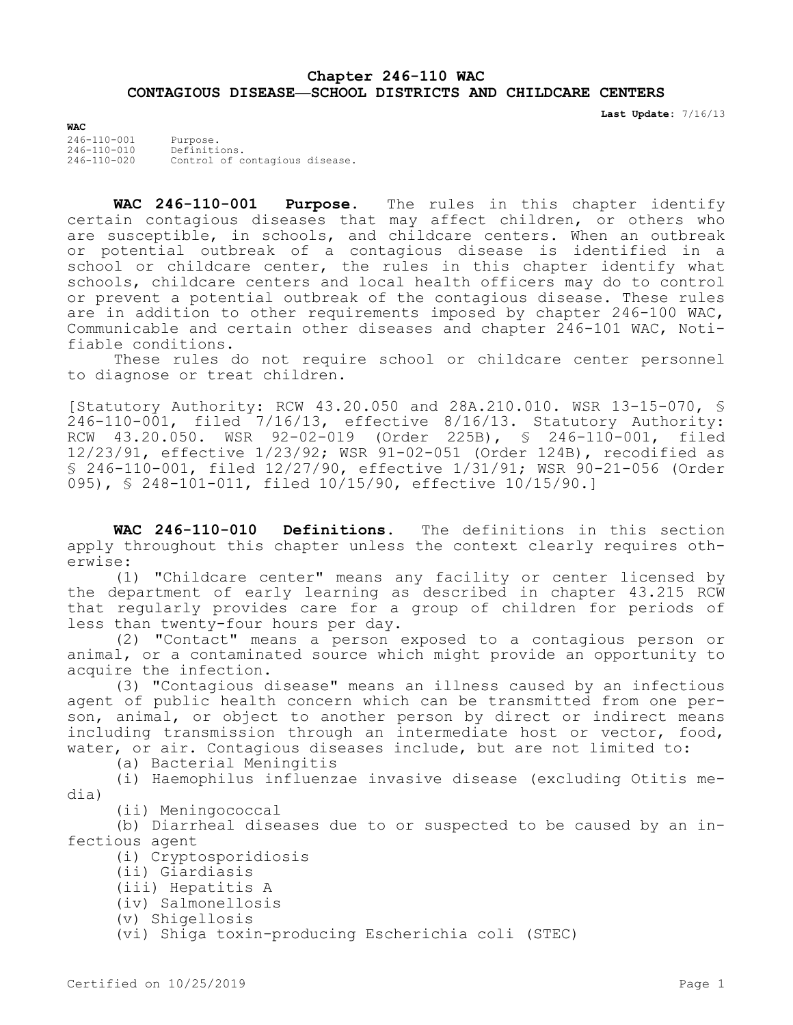## **Chapter 246-110 WAC CONTAGIOUS DISEASE—SCHOOL DISTRICTS AND CHILDCARE CENTERS**

**Last Update:** 7/16/13

**WAC** 246-110-001 Purpose. 246-110-010 Definitions. 246-110-020 Control of contagious disease.

**WAC 246-110-001 Purpose.** The rules in this chapter identify certain contagious diseases that may affect children, or others who are susceptible, in schools, and childcare centers. When an outbreak or potential outbreak of a contagious disease is identified in a school or childcare center, the rules in this chapter identify what schools, childcare centers and local health officers may do to control or prevent a potential outbreak of the contagious disease. These rules are in addition to other requirements imposed by chapter 246-100 WAC, Communicable and certain other diseases and chapter 246-101 WAC, Notifiable conditions.

These rules do not require school or childcare center personnel to diagnose or treat children.

[Statutory Authority: RCW 43.20.050 and 28A.210.010. WSR 13-15-070, § 246-110-001, filed 7/16/13, effective 8/16/13. Statutory Authority: RCW 43.20.050. WSR 92-02-019 (Order 225B), § 246-110-001, filed 12/23/91, effective 1/23/92; WSR 91-02-051 (Order 124B), recodified as § 246-110-001, filed 12/27/90, effective 1/31/91; WSR 90-21-056 (Order 095), § 248-101-011, filed 10/15/90, effective 10/15/90.]

**WAC 246-110-010 Definitions.** The definitions in this section apply throughout this chapter unless the context clearly requires otherwise:

(1) "Childcare center" means any facility or center licensed by the department of early learning as described in chapter 43.215 RCW that regularly provides care for a group of children for periods of less than twenty-four hours per day.

(2) "Contact" means a person exposed to a contagious person or animal, or a contaminated source which might provide an opportunity to acquire the infection.

(3) "Contagious disease" means an illness caused by an infectious agent of public health concern which can be transmitted from one person, animal, or object to another person by direct or indirect means including transmission through an intermediate host or vector, food, water, or air. Contagious diseases include, but are not limited to:

(a) Bacterial Meningitis

(i) Haemophilus influenzae invasive disease (excluding Otitis media)

(ii) Meningococcal

(b) Diarrheal diseases due to or suspected to be caused by an infectious agent

(i) Cryptosporidiosis

- (ii) Giardiasis
- (iii) Hepatitis A
- (iv) Salmonellosis
- (v) Shigellosis

(vi) Shiga toxin-producing Escherichia coli (STEC)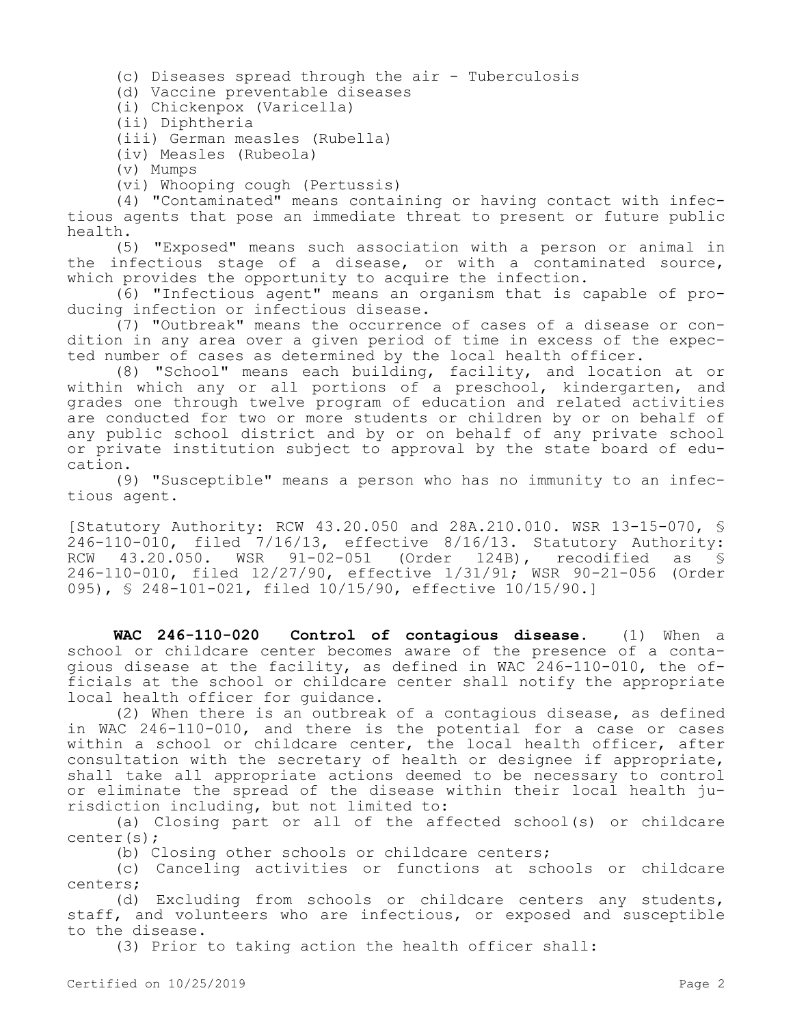(c) Diseases spread through the air - Tuberculosis

(d) Vaccine preventable diseases

(i) Chickenpox (Varicella)

(ii) Diphtheria

(iii) German measles (Rubella)

(iv) Measles (Rubeola)

(v) Mumps

(vi) Whooping cough (Pertussis)

(4) "Contaminated" means containing or having contact with infectious agents that pose an immediate threat to present or future public health.

(5) "Exposed" means such association with a person or animal in the infectious stage of a disease, or with a contaminated source, which provides the opportunity to acquire the infection.

(6) "Infectious agent" means an organism that is capable of producing infection or infectious disease.

(7) "Outbreak" means the occurrence of cases of a disease or condition in any area over a given period of time in excess of the expected number of cases as determined by the local health officer.

(8) "School" means each building, facility, and location at or within which any or all portions of a preschool, kindergarten, and grades one through twelve program of education and related activities are conducted for two or more students or children by or on behalf of any public school district and by or on behalf of any private school or private institution subject to approval by the state board of education.

(9) "Susceptible" means a person who has no immunity to an infectious agent.

[Statutory Authority: RCW 43.20.050 and 28A.210.010. WSR 13-15-070, § 246-110-010, filed 7/16/13, effective 8/16/13. Statutory Authority: RCW 43.20.050. WSR 91-02-051 (Order 124B), recodified as § 246-110-010, filed 12/27/90, effective 1/31/91; WSR 90-21-056 (Order 095), § 248-101-021, filed 10/15/90, effective 10/15/90.]

**WAC 246-110-020 Control of contagious disease.** (1) When a school or childcare center becomes aware of the presence of a contagious disease at the facility, as defined in WAC 246-110-010, the officials at the school or childcare center shall notify the appropriate local health officer for guidance.

(2) When there is an outbreak of a contagious disease, as defined in WAC 246-110-010, and there is the potential for a case or cases within a school or childcare center, the local health officer, after consultation with the secretary of health or designee if appropriate, shall take all appropriate actions deemed to be necessary to control or eliminate the spread of the disease within their local health jurisdiction including, but not limited to:

(a) Closing part or all of the affected school(s) or childcare center(s);

(b) Closing other schools or childcare centers;

(c) Canceling activities or functions at schools or childcare centers;

(d) Excluding from schools or childcare centers any students, staff, and volunteers who are infectious, or exposed and susceptible to the disease.

(3) Prior to taking action the health officer shall: